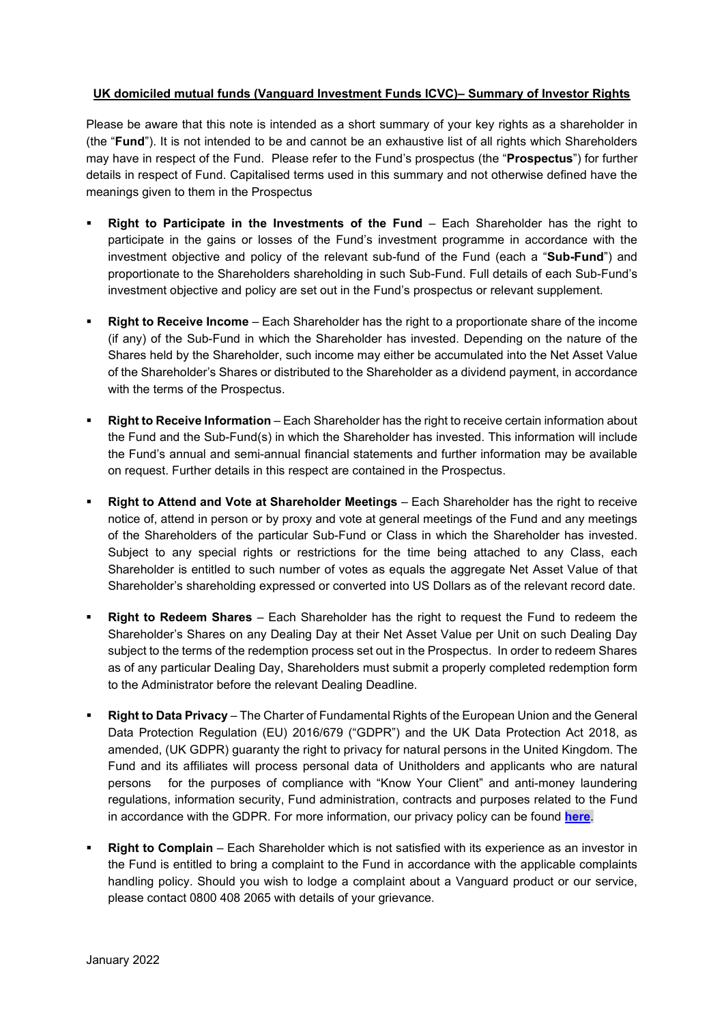## **UK domiciled mutual funds (Vanguard Investment Funds ICVC)– Summary of Investor Rights**

Please be aware that this note is intended as a short summary of your key rights as a shareholder in (the "**Fund**"). It is not intended to be and cannot be an exhaustive list of all rights which Shareholders may have in respect of the Fund. Please refer to the Fund's prospectus (the "**Prospectus**") for further details in respect of Fund. Capitalised terms used in this summary and not otherwise defined have the meanings given to them in the Prospectus

- **Right to Participate in the Investments of the Fund** Each Shareholder has the right to participate in the gains or losses of the Fund's investment programme in accordance with the investment objective and policy of the relevant sub-fund of the Fund (each a "**Sub-Fund**") and proportionate to the Shareholders shareholding in such Sub-Fund. Full details of each Sub-Fund's investment objective and policy are set out in the Fund's prospectus or relevant supplement.
- **Right to Receive Income** Each Shareholder has the right to a proportionate share of the income (if any) of the Sub-Fund in which the Shareholder has invested. Depending on the nature of the Shares held by the Shareholder, such income may either be accumulated into the Net Asset Value of the Shareholder's Shares or distributed to the Shareholder as a dividend payment, in accordance with the terms of the Prospectus.
- **Right to Receive Information** Each Shareholder has the right to receive certain information about the Fund and the Sub-Fund(s) in which the Shareholder has invested. This information will include the Fund's annual and semi-annual financial statements and further information may be available on request. Further details in this respect are contained in the Prospectus.
- **Right to Attend and Vote at Shareholder Meetings** Each Shareholder has the right to receive notice of, attend in person or by proxy and vote at general meetings of the Fund and any meetings of the Shareholders of the particular Sub-Fund or Class in which the Shareholder has invested. Subject to any special rights or restrictions for the time being attached to any Class, each Shareholder is entitled to such number of votes as equals the aggregate Net Asset Value of that Shareholder's shareholding expressed or converted into US Dollars as of the relevant record date.
- **Right to Redeem Shares** Each Shareholder has the right to request the Fund to redeem the Shareholder's Shares on any Dealing Day at their Net Asset Value per Unit on such Dealing Day subject to the terms of the redemption process set out in the Prospectus. In order to redeem Shares as of any particular Dealing Day, Shareholders must submit a properly completed redemption form to the Administrator before the relevant Dealing Deadline.
- **Right to Data Privacy**  The Charter of Fundamental Rights of the European Union and the General Data Protection Regulation (EU) 2016/679 ("GDPR") and the UK Data Protection Act 2018, as amended, (UK GDPR) guaranty the right to privacy for natural persons in the United Kingdom. The Fund and its affiliates will process personal data of Unitholders and applicants who are natural persons for the purposes of compliance with "Know Your Client" and anti-money laundering regulations, information security, Fund administration, contracts and purposes related to the Fund in accordance with the GDPR. For more information, our privacy policy can be found **[here](https://global.vanguard.com/portal/site/loadPDF?country=global&docId=16407)**.
- **Right to Complain** Each Shareholder which is not satisfied with its experience as an investor in the Fund is entitled to bring a complaint to the Fund in accordance with the applicable complaints handling policy. Should you wish to lodge a complaint about a Vanguard product or our service, please contact 0800 408 2065 with details of your grievance.